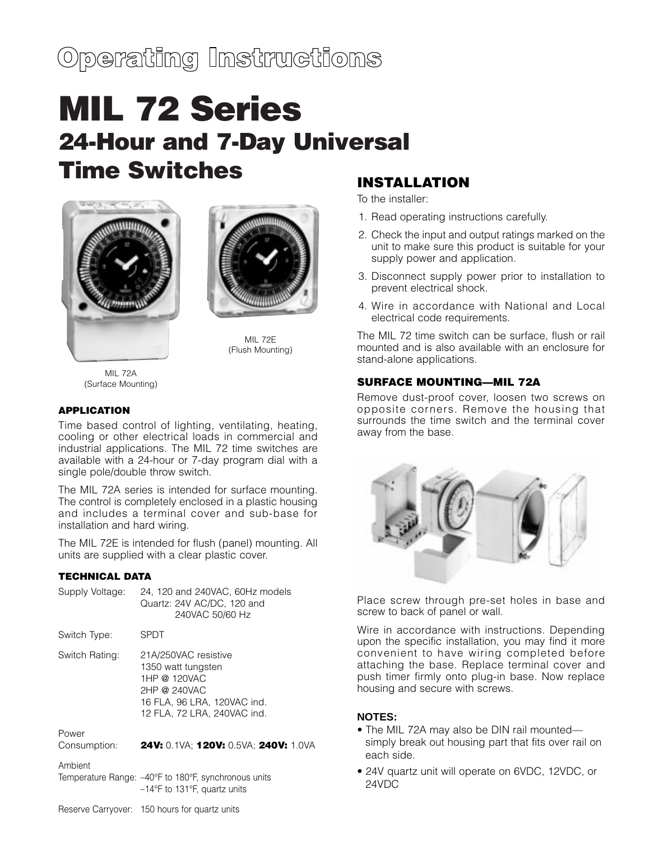# Operating Instructions

# **MIL 72 Series 24-Hour and 7-Day Universal Time Switches**





MIL 72E (Flush Mounting)

MIL 72A (Surface Mounting)

#### **APPLICATION**

Time based control of lighting, ventilating, heating, cooling or other electrical loads in commercial and industrial applications. The MIL 72 time switches are available with a 24-hour or 7-day program dial with a single pole/double throw switch.

The MIL 72A series is intended for surface mounting. The control is completely enclosed in a plastic housing and includes a terminal cover and sub-base for installation and hard wiring.

The MIL 72E is intended for flush (panel) mounting. All units are supplied with a clear plastic cover.

#### **TECHNICAL DATA**

| Supply Voltage:       | 24, 120 and 240VAC, 60Hz models<br>Quartz: 24V AC/DC, 120 and<br>240VAC 50/60 Hz                                                         |
|-----------------------|------------------------------------------------------------------------------------------------------------------------------------------|
| Switch Type:          | SPDT                                                                                                                                     |
| Switch Rating:        | 21A/250VAC resistive<br>1350 watt tungsten<br>1HP @ 120VAC<br>2HP @ 240VAC<br>16 FLA, 96 LRA, 120VAC ind.<br>12 FLA, 72 LRA, 240VAC ind. |
| Power<br>Consumption: | 24V: 0.1VA: 120V: 0.5VA: 240V: 1.0VA                                                                                                     |
| Ambient               | Temperature Range: -40°F to 180°F, synchronous units<br>$-14$ °F to 131°F, quartz units                                                  |

# **INSTALLATION**

To the installer:

- 1. Read operating instructions carefully.
- 2. Check the input and output ratings marked on the unit to make sure this product is suitable for your supply power and application.
- 3. Disconnect supply power prior to installation to prevent electrical shock.
- 4. Wire in accordance with National and Local electrical code requirements.

The MIL 72 time switch can be surface, flush or rail mounted and is also available with an enclosure for stand-alone applications.

### **SURFACE MOUNTING—MIL 72A**

Remove dust-proof cover, loosen two screws on opposite corners. Remove the housing that surrounds the time switch and the terminal cover away from the base.



Place screw through pre-set holes in base and screw to back of panel or wall.

Wire in accordance with instructions. Depending upon the specific installation, you may find it more convenient to have wiring completed before attaching the base. Replace terminal cover and push timer firmly onto plug-in base. Now replace housing and secure with screws.

#### **NOTES:**

- The MIL 72A may also be DIN rail mounted simply break out housing part that fits over rail on each side.
- 24V quartz unit will operate on 6VDC, 12VDC, or 24VDC